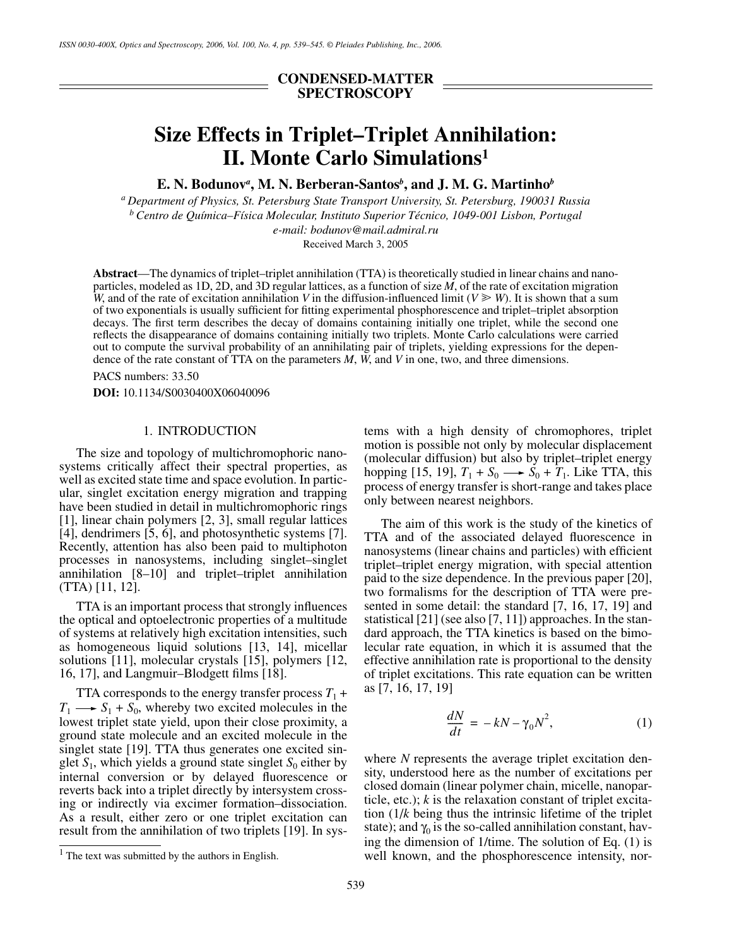# **CONDENSED-MATTER SPECTROSCOPY**

# **Size Effects in Triplet–Triplet Annihilation: II. Monte Carlo Simulations1**

**E. N. Bodunov***<sup>a</sup>* **, M. N. Berberan-Santos***<sup>b</sup>* **, and J. M. G. Martinho***<sup>b</sup>*

*a Department of Physics, St. Petersburg State Transport University, St. Petersburg, 190031 Russia b Centro de Química–Física Molecular, Instituto Superior Técnico, 1049-001 Lisbon, Portugal e-mail: bodunov@mail.admiral.ru* 

Received March 3, 2005

**Abstract**—The dynamics of triplet–triplet annihilation (TTA) is theoretically studied in linear chains and nanoparticles, modeled as 1D, 2D, and 3D regular lattices, as a function of size  $\dot{M}$ , of the rate of excitation migration *W*, and of the rate of excitation annihilation *V* in the diffusion-influenced limit ( $V \ge W$ ). It is shown that a sum of two exponentials is usually sufficient for fitting experimental phosphorescence and triplet–triplet absorption decays. The first term describes the decay of domains containing initially one triplet, while the second one reflects the disappearance of domains containing initially two triplets. Monte Carlo calculations were carried out to compute the survival probability of an annihilating pair of triplets, yielding expressions for the dependence of the rate constant of TTA on the parameters *M*, *W*, and *V* in one, two, and three dimensions.

PACS numbers: 33.50

**DOI:** 10.1134/S0030400X06040096

# 1. INTRODUCTION

The size and topology of multichromophoric nanosystems critically affect their spectral properties, as well as excited state time and space evolution. In particular, singlet excitation energy migration and trapping have been studied in detail in multichromophoric rings [1], linear chain polymers [2, 3], small regular lattices [4], dendrimers [5, 6], and photosynthetic systems [7]. Recently, attention has also been paid to multiphoton processes in nanosystems, including singlet–singlet annihilation [8–10] and triplet–triplet annihilation (TTA) [11, 12].

TTA is an important process that strongly influences the optical and optoelectronic properties of a multitude of systems at relatively high excitation intensities, such as homogeneous liquid solutions [13, 14], micellar solutions [11], molecular crystals [15], polymers [12, 16, 17], and Langmuir–Blodgett films [18].

TTA corresponds to the energy transfer process  $T_1$  +  $T_1 \longrightarrow S_1 + S_0$ , whereby two excited molecules in the lowest triplet state yield, upon their close proximity, a ground state molecule and an excited molecule in the singlet state [19]. TTA thus generates one excited singlet  $S_1$ , which yields a ground state singlet  $S_0$  either by internal conversion or by delayed fluorescence or reverts back into a triplet directly by intersystem crossing or indirectly via excimer formation–dissociation. As a result, either zero or one triplet excitation can result from the annihilation of two triplets [19]. In systems with a high density of chromophores, triplet motion is possible not only by molecular displacement (molecular diffusion) but also by triplet–triplet energy hopping [15, 19],  $T_1 + S_0 \longrightarrow \dot{S}_0 + \dot{T}_1$ . Like TTA, this process of energy transfer is short-range and takes place only between nearest neighbors.

The aim of this work is the study of the kinetics of TTA and of the associated delayed fluorescence in nanosystems (linear chains and particles) with efficient triplet–triplet energy migration, with special attention paid to the size dependence. In the previous paper [20], two formalisms for the description of TTA were presented in some detail: the standard [7, 16, 17, 19] and statistical [21] (see also [7, 11]) approaches. In the standard approach, the TTA kinetics is based on the bimolecular rate equation, in which it is assumed that the effective annihilation rate is proportional to the density of triplet excitations. This rate equation can be written as [7, 16, 17, 19]

$$
\frac{dN}{dt} = -kN - \gamma_0 N^2,\tag{1}
$$

where *N* represents the average triplet excitation density, understood here as the number of excitations per closed domain (linear polymer chain, micelle, nanoparticle, etc.); *k* is the relaxation constant of triplet excitation (1/*k* being thus the intrinsic lifetime of the triplet state); and  $\gamma_0$  is the so-called annihilation constant, having the dimension of 1/time. The solution of Eq. (1) is well known, and the phosphorescence intensity, nor-

 $<sup>1</sup>$  The text was submitted by the authors in English.</sup>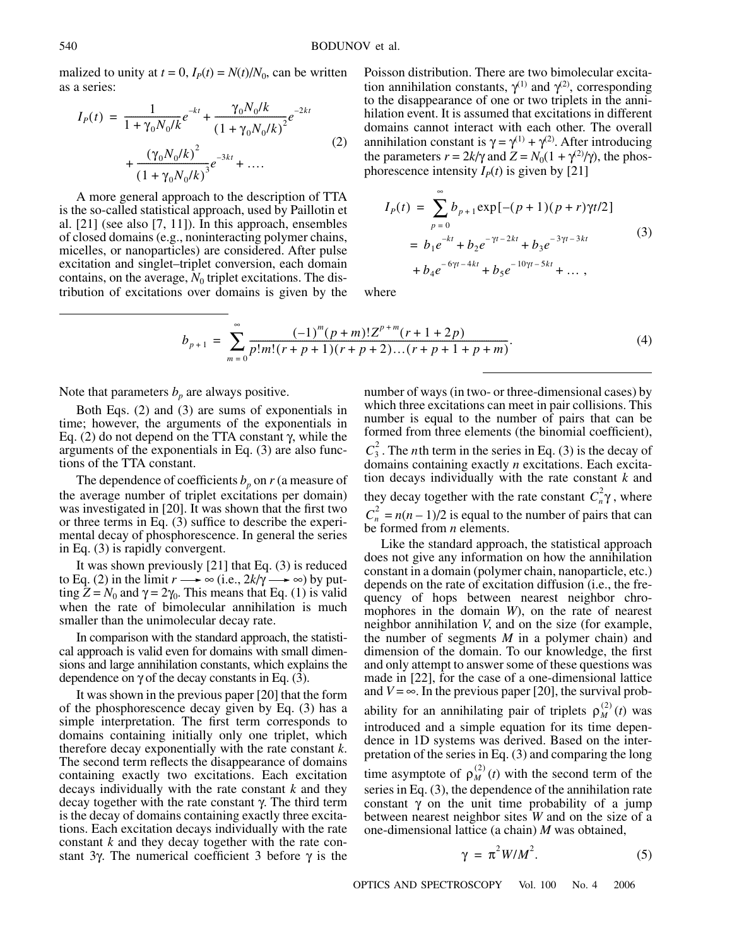malized to unity at  $t = 0$ ,  $I_p(t) = N(t)/N_0$ , can be written as a series:

$$
I_P(t) = \frac{1}{1 + \gamma_0 N_0 / k} e^{-kt} + \frac{\gamma_0 N_0 / k}{(1 + \gamma_0 N_0 / k)^2} e^{-2kt}
$$
  
+ 
$$
\frac{(\gamma_0 N_0 / k)^2}{(1 + \gamma_0 N_0 / k)^3} e^{-3kt} + \dots
$$
 (2)

A more general approach to the description of TTA is the so-called statistical approach, used by Paillotin et al. [21] (see also [7, 11]). In this approach, ensembles of closed domains (e.g., noninteracting polymer chains, micelles, or nanoparticles) are considered. After pulse excitation and singlet–triplet conversion, each domain contains, on the average,  $N_0$  triplet excitations. The distribution of excitations over domains is given by the Poisson distribution. There are two bimolecular excitation annihilation constants,  $\gamma^{(1)}$  and  $\gamma^{(2)}$ , corresponding to the disappearance of one or two triplets in the annihilation event. It is assumed that excitations in different domains cannot interact with each other. The overall annihilation constant is  $\gamma = \gamma^{(1)} + \gamma^{(2)}$ . After introducing the parameters  $r = 2k/\gamma$  and  $Z = N_0(1 + \gamma^{(2)}/\gamma)$ , the phosphorescence intensity  $I<sub>p</sub>(t)$  is given by [21]

$$
I_{P}(t) = \sum_{p=0}^{\infty} b_{p+1} \exp[-(p+1)(p+r)\gamma t/2]
$$
  
=  $b_{1}e^{-kt} + b_{2}e^{-\gamma t - 2kt} + b_{3}e^{-3\gamma t - 3kt}$   
+  $b_{4}e^{-6\gamma t - 4kt} + b_{5}e^{-10\gamma t - 5kt} + ...$ , (3)

where

$$
b_{p+1} = \sum_{m=0}^{\infty} \frac{(-1)^m (p+m)! Z^{p+m} (r+1+2p)}{p! m! (r+p+1)(r+p+2)...(r+p+1+p+m)}.
$$
 (4)

Note that parameters  $b_p$  are always positive.

Both Eqs. (2) and (3) are sums of exponentials in time; however, the arguments of the exponentials in Eq. (2) do not depend on the TTA constant γ, while the arguments of the exponentials in Eq. (3) are also functions of the TTA constant.

The dependence of coefficients  $b_p$  on  $r$  (a measure of the average number of triplet excitations per domain) was investigated in [20]. It was shown that the first two or three terms in Eq. (3) suffice to describe the experimental decay of phosphorescence. In general the series in Eq. (3) is rapidly convergent.

It was shown previously [21] that Eq. (3) is reduced to Eq. (2) in the limit  $r \rightarrow \infty$  (i.e.,  $2k/\gamma \rightarrow \infty$ ) by putting  $Z = N_0$  and  $\gamma = 2\gamma_0$ . This means that Eq. (1) is valid when the rate of bimolecular annihilation is much smaller than the unimolecular decay rate.

In comparison with the standard approach, the statistical approach is valid even for domains with small dimensions and large annihilation constants, which explains the dependence on  $\gamma$  of the decay constants in Eq. (3).

It was shown in the previous paper [20] that the form of the phosphorescence decay given by Eq. (3) has a simple interpretation. The first term corresponds to domains containing initially only one triplet, which therefore decay exponentially with the rate constant *k*. The second term reflects the disappearance of domains containing exactly two excitations. Each excitation decays individually with the rate constant *k* and they decay together with the rate constant γ. The third term is the decay of domains containing exactly three excitations. Each excitation decays individually with the rate constant *k* and they decay together with the rate constant 3γ. The numerical coefficient 3 before γ is the number of ways (in two- or three-dimensional cases) by which three excitations can meet in pair collisions. This number is equal to the number of pairs that can be formed from three elements (the binomial coefficient),  $C_3^2$ . The *n*th term in the series in Eq. (3) is the decay of domains containing exactly *n* excitations. Each excitation decays individually with the rate constant *k* and they decay together with the rate constant  $C_n^2 \gamma$ , where  $C_n^2 = n(n-1)/2$  is equal to the number of pairs that can be formed from *n* elements.

Like the standard approach, the statistical approach does not give any information on how the annihilation constant in a domain (polymer chain, nanoparticle, etc.) depends on the rate of excitation diffusion (i.e., the frequency of hops between nearest neighbor chromophores in the domain *W*), on the rate of nearest neighbor annihilation *V*, and on the size (for example, the number of segments *M* in a polymer chain) and dimension of the domain. To our knowledge, the first and only attempt to answer some of these questions was made in [22], for the case of a one-dimensional lattice and  $V = \infty$ . In the previous paper [20], the survival probability for an annihilating pair of triplets  $\rho_M^{(2)}(t)$  was introduced and a simple equation for its time dependence in 1D systems was derived. Based on the interpretation of the series in Eq. (3) and comparing the long time asymptote of  $\rho_M^{(2)}(t)$  with the second term of the series in Eq. (3), the dependence of the annihilation rate constant  $\gamma$  on the unit time probability of a jump between nearest neighbor sites *W* and on the size of a one-dimensional lattice (a chain) *M* was obtained,

$$
\gamma = \pi^2 W / M^2. \tag{5}
$$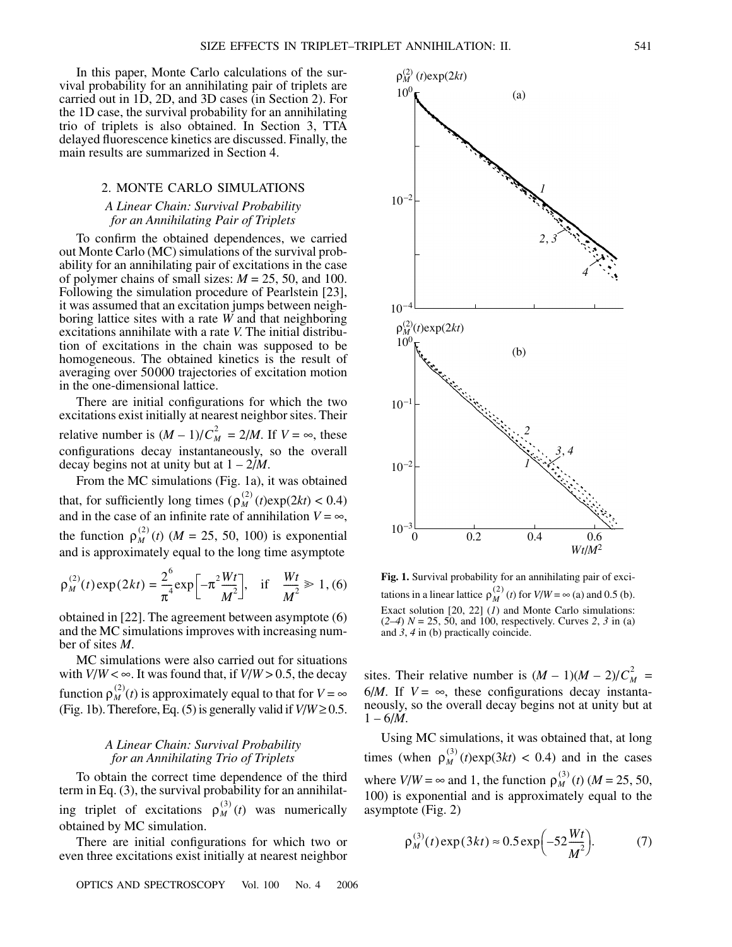In this paper, Monte Carlo calculations of the survival probability for an annihilating pair of triplets are carried out in 1D, 2D, and 3D cases (in Section 2). For the 1D case, the survival probability for an annihilating trio of triplets is also obtained. In Section 3, TTA delayed fluorescence kinetics are discussed. Finally, the main results are summarized in Section 4.

# 2. MONTE CARLO SIMULATIONS

### *A Linear Chain: Survival Probability for an Annihilating Pair of Triplets*

To confirm the obtained dependences, we carried out Monte Carlo (MC) simulations of the survival probability for an annihilating pair of excitations in the case of polymer chains of small sizes:  $M = 25, 50,$  and 100. Following the simulation procedure of Pearlstein [23], it was assumed that an excitation jumps between neighboring lattice sites with a rate *W* and that neighboring excitations annihilate with a rate *V*. The initial distribution of excitations in the chain was supposed to be homogeneous. The obtained kinetics is the result of averaging over 50000 trajectories of excitation motion in the one-dimensional lattice.

There are initial configurations for which the two excitations exist initially at nearest neighbor sites. Their relative number is  $(M - 1)/C_M^2 = 2/M$ . If  $V = \infty$ , these configurations decay instantaneously, so the overall decay begins not at unity but at 1 – 2/*M*.

From the MC simulations (Fig. 1a), it was obtained that, for sufficiently long times  $(\rho_M^{(2)}(t)exp(2kt) < 0.4)$ and in the case of an infinite rate of annihilation  $V = \infty$ , the function  $\rho_M^{(2)}(t)$  (*M* = 25, 50, 100) is exponential and is approximately equal to the long time asymptote  $\rho_M^{(2)}$ 

$$
\rho_M^{(2)}(t) \exp(2kt) = \frac{2^6}{\pi^4} \exp\left[-\pi^2 \frac{Wt}{M^2}\right], \quad \text{if} \quad \frac{Wt}{M^2} \gg 1, \text{(6)}
$$

obtained in [22]. The agreement between asymptote (6) and the MC simulations improves with increasing number of sites *M*.

MC simulations were also carried out for situations with  $V/W < \infty$ . It was found that, if  $V/W > 0.5$ , the decay function  $\rho_M^{(2)}(t)$  is approximately equal to that for  $V = \infty$ (Fig. 1b). Therefore, Eq. (5) is generally valid if  $V/W \ge 0.5$ .

# *A Linear Chain: Survival Probability for an Annihilating Trio of Triplets*

To obtain the correct time dependence of the third term in Eq. (3), the survival probability for an annihilating triplet of excitations  $\rho_M^{(3)}(t)$  was numerically obtained by MC simulation.

There are initial configurations for which two or even three excitations exist initially at nearest neighbor



**Fig. 1.** Survival probability for an annihilating pair of excitations in a linear lattice  $\rho_M^{(2)}(t)$  for  $V/W = \infty$  (a) and 0.5 (b). Exact solution [20, 22] (*1*) and Monte Carlo simulations: (*2*–*4*) *N* = 25, 50, and 100, respectively. Curves *2*, *3* in (a) and *3*, *4* in (b) practically coincide.

sites. Their relative number is  $(M - 1)(M - 2)/C_M^2$ 6/*M*. If  $V = \infty$ , these configurations decay instantaneously, so the overall decay begins not at unity but at  $1 - 6/M$ .

Using MC simulations, it was obtained that, at long times (when  $\rho_M^{(3)}(t) \exp(3kt) < 0.4$ ) and in the cases where  $V/W = \infty$  and 1, the function  $\rho_M^{(3)}(t)$  (*M* = 25, 50, 100) is exponential and is approximately equal to the asymptote (Fig. 2)

$$
\rho_M^{(3)}(t) \exp(3kt) \approx 0.5 \exp\left(-52 \frac{Wt}{M^2}\right).
$$
 (7)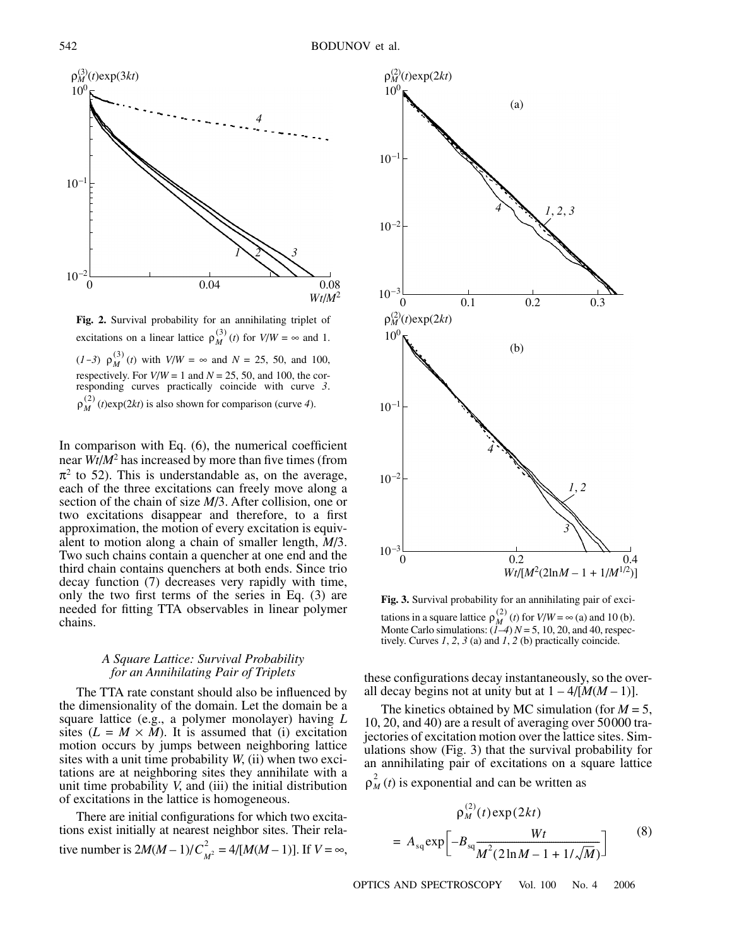

**Fig. 2.** Survival probability for an annihilating triplet of excitations on a linear lattice  $\rho_M^{(3)}(t)$  for  $V/W = \infty$  and 1. (*1*-3)  $\rho_M^{(3)}(t)$  with  $V/W = \infty$  and  $N = 25, 50, \text{ and } 100,$ respectively. For  $V/W = 1$  and  $N = 25, 50,$  and 100, the corresponding curves practically coincide with curve *3*.  $\rho_M^{(2)}$  (*t*)exp(2*kt*) is also shown for comparison (curve 4).

In comparison with Eq. (6), the numerical coefficient near *Wt*/*M*<sup>2</sup> has increased by more than five times (from  $\pi^2$  to 52). This is understandable as, on the average, each of the three excitations can freely move along a section of the chain of size *M*/3. After collision, one or two excitations disappear and therefore, to a first approximation, the motion of every excitation is equivalent to motion along a chain of smaller length, *M*/3. Two such chains contain a quencher at one end and the third chain contains quenchers at both ends. Since trio decay function (7) decreases very rapidly with time, only the two first terms of the series in Eq. (3) are needed for fitting TTA observables in linear polymer chains.

#### *A Square Lattice: Survival Probability for an Annihilating Pair of Triplets*

The TTA rate constant should also be influenced by the dimensionality of the domain. Let the domain be a square lattice (e.g., a polymer monolayer) having *L* sites  $(L = M \times M)$ . It is assumed that (i) excitation motion occurs by jumps between neighboring lattice sites with a unit time probability *W*, (ii) when two excitations are at neighboring sites they annihilate with a unit time probability *V*, and (iii) the initial distribution of excitations in the lattice is homogeneous.

There are initial configurations for which two excitations exist initially at nearest neighbor sites. Their relative number is  $2M(M-1)/C_{M^2}^2 = 4/[M(M-1)]$ . If  $V = \infty$ ,



**Fig. 3.** Survival probability for an annihilating pair of excitations in a square lattice  $\rho_M^{(2)}(t)$  for  $V/W = \infty$  (a) and 10 (b). Monte Carlo simulations: (*1*–*4*) *N* = 5, 10, 20, and 40, respectively. Curves *1*, *2*, *3* (a) and *1*, *2* (b) practically coincide.  $\rho_M^{(2)}$ 

these configurations decay instantaneously, so the overall decay begins not at unity but at  $1 - 4/[M(M-1)]$ .

The kinetics obtained by MC simulation (for  $M = 5$ , 10, 20, and 40) are a result of averaging over 50000 trajectories of excitation motion over the lattice sites. Simulations show (Fig. 3) that the survival probability for an annihilating pair of excitations on a square lattice

 $\rho_M^2(t)$  is exponential and can be written as

$$
\rho_M^{(2)}(t) \exp(2kt)
$$
  
=  $A_{sq} \exp \left[ -B_{sq} \frac{Wt}{M^2 (2 \ln M - 1 + 1/\sqrt{M})} \right]$  (8)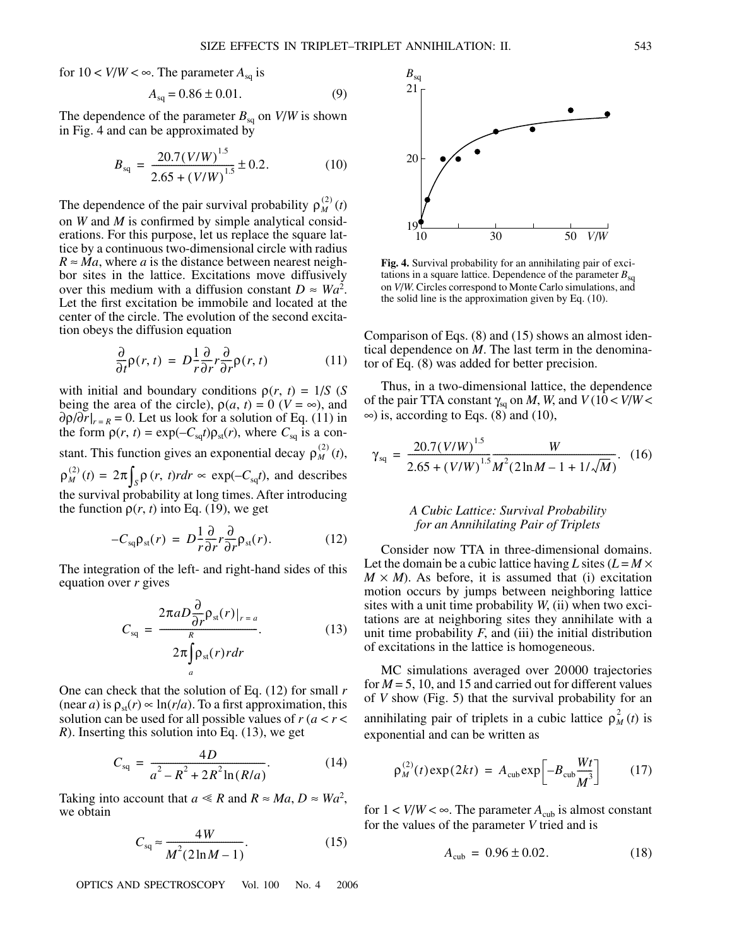for  $10 < V/W < \infty$ . The parameter  $A_{\rm{sa}}$  is

$$
A_{\text{sq}} = 0.86 \pm 0.01. \tag{9}
$$

The dependence of the parameter  $B_{\text{sq}}$  on  $V/W$  is shown in Fig. 4 and can be approximated by

$$
B_{\text{sq}} = \frac{20.7(V/W)^{1.5}}{2.65 + (V/W)^{1.5}} \pm 0.2. \tag{10}
$$

The dependence of the pair survival probability  $\rho_M^{(2)}(t)$ on *W* and *M* is confirmed by simple analytical considerations. For this purpose, let us replace the square lattice by a continuous two-dimensional circle with radius  $R \approx Ma$ , where *a* is the distance between nearest neighbor sites in the lattice. Excitations move diffusively over this medium with a diffusion constant  $D \approx Wa^2$ . Let the first excitation be immobile and located at the center of the circle. The evolution of the second excitation obeys the diffusion equation

$$
\frac{\partial}{\partial t}\rho(r,t) = D\frac{1}{r}\frac{\partial}{\partial r}r\frac{\partial}{\partial r}\rho(r,t)
$$
(11)

with initial and boundary conditions  $\rho(r, t) = 1/S$  (*S* being the area of the circle),  $\rho(a, t) = 0$  ( $V = \infty$ ), and  $\partial \rho / \partial r |_{r=R} = 0$ . Let us look for a solution of Eq. (11) in the form  $\rho(r, t) = \exp(-C_{\text{sq}}t)\rho_{\text{st}}(r)$ , where  $C_{\text{sq}}$  is a constant. This function gives an exponential decay  $\rho_M^{(2)}(t)$ ,  $\rho_M^{(2)}(t) = 2\pi \int_S \rho(r, t) r dr \propto \exp(-C_{\text{sq}}t)$ , and describes

the survival probability at long times. After introducing the function  $\rho(r, t)$  into Eq. (19), we get

$$
-C_{\rm sq}\rho_{\rm st}(r) = D\frac{1}{r}\frac{\partial}{\partial r}r\frac{\partial}{\partial r}\rho_{\rm st}(r). \tag{12}
$$

The integration of the left- and right-hand sides of this equation over *r* gives

$$
C_{\text{sq}} = \frac{2\pi a D \frac{\partial}{\partial r} \rho_{\text{st}}(r)|_{r=a}}{2\pi \int_{a} \rho_{\text{st}}(r) r dr}.
$$
 (13)

One can check that the solution of Eq. (12) for small *r*  $(\text{near } a)$  is  $\rho_{st}(r) \propto \ln(r/a)$ . To a first approximation, this solution can be used for all possible values of  $r (a < r <$ *R*). Inserting this solution into Eq. (13), we get

$$
C_{\text{sq}} = \frac{4D}{a^2 - R^2 + 2R^2 \ln(R/a)}.
$$
 (14)

Taking into account that  $a \le R$  and  $R \approx Ma$ ,  $D \approx Wa^2$ , we obtain

$$
C_{\text{sq}} \approx \frac{4W}{M^2 (2\ln M - 1)}.\tag{15}
$$

OPTICS AND SPECTROSCOPY Vol. 100 No. 4 2006



**Fig. 4.** Survival probability for an annihilating pair of excitations in a square lattice. Dependence of the parameter  $B_{\rm{sa}}$ on *V*/*W*. Circles correspond to Monte Carlo simulations, and the solid line is the approximation given by Eq. (10).

Comparison of Eqs. (8) and (15) shows an almost identical dependence on *M*. The last term in the denominator of Eq. (8) was added for better precision.

Thus, in a two-dimensional lattice, the dependence of the pair TTA constant  $\gamma_{sq}$  on *M*, *W*, and  $V(10 < V/W <$  $\infty$ ) is, according to Eqs. (8) and (10),

$$
\gamma_{\text{sq}} = \frac{20.7(V/W)^{1.5}}{2.65 + (V/W)^{1.5} M^2 (2 \ln M - 1 + 1/\sqrt{M})}.
$$
 (16)

#### *A Cubic Lattice: Survival Probability for an Annihilating Pair of Triplets*

Consider now TTA in three-dimensional domains. Let the domain be a cubic lattice having *L* sites  $(L = M \times$  $M \times M$ ). As before, it is assumed that (i) excitation motion occurs by jumps between neighboring lattice sites with a unit time probability *W*, (ii) when two excitations are at neighboring sites they annihilate with a unit time probability  $F$ , and (iii) the initial distribution of excitations in the lattice is homogeneous.

MC simulations averaged over 20000 trajectories for  $M = 5$ , 10, and 15 and carried out for different values of *V* show (Fig. 5) that the survival probability for an annihilating pair of triplets in a cubic lattice  $\rho_M^2(t)$  is exponential and can be written as

$$
\rho_M^{(2)}(t) \exp(2kt) = A_{\rm cub} \exp\left[-B_{\rm cub} \frac{Wt}{M^3}\right] \tag{17}
$$

for  $1 < V/W < \infty$ . The parameter  $A_{\text{cub}}$  is almost constant for the values of the parameter *V* tried and is

$$
A_{\rm cub} = 0.96 \pm 0.02. \tag{18}
$$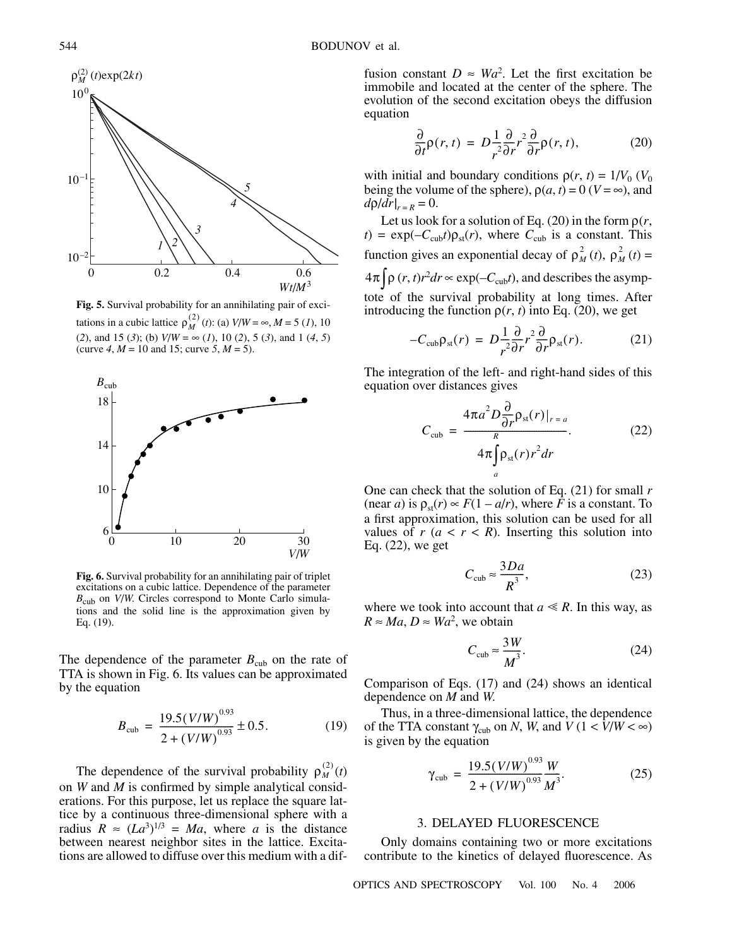

**Fig. 5.** Survival probability for an annihilating pair of excitations in a cubic lattice  $\rho_M^{(2)}(t)$ : (a)  $V/W = \infty, M = 5$  (1), 10 (*2*), and 15 (*3*); (b) *V*/*W* = ∞ (*1*), 10 (*2*), 5 (*3*), and 1 (*4*, *5*) (curve  $4, M = 10$  and 15; curve  $5, M = 5$ ).



**Fig. 6.** Survival probability for an annihilating pair of triplet excitations on a cubic lattice. Dependence of the parameter *B*<sub>cub</sub> on *V*/*W*. Circles correspond to Monte Carlo simulations and the solid line is the approximation given by Eq. (19).

The dependence of the parameter  $B_{\text{cub}}$  on the rate of TTA is shown in Fig. 6. Its values can be approximated by the equation

$$
B_{\rm cub} = \frac{19.5(V/W)^{0.93}}{2 + (V/W)^{0.93}} \pm 0.5.
$$
 (19)

The dependence of the survival probability  $\rho_M^{(2)}(t)$ on *W* and *M* is confirmed by simple analytical considerations. For this purpose, let us replace the square lattice by a continuous three-dimensional sphere with a radius  $R \approx (La^{3})^{1/3} = Ma$ , where *a* is the distance between nearest neighbor sites in the lattice. Excitations are allowed to diffuse over this medium with a dif-

fusion constant  $D \approx Wa^2$ . Let the first excitation be immobile and located at the center of the sphere. The evolution of the second excitation obeys the diffusion equation

$$
\frac{\partial}{\partial t}\rho(r,t) = D\frac{1}{r^2}\frac{\partial}{\partial r}r^2\frac{\partial}{\partial r}\rho(r,t),\tag{20}
$$

with initial and boundary conditions  $\rho(r, t) = 1/V_0$  ( $V_0$ ) being the volume of the sphere),  $\rho(a, t) = 0$  (*V* = ∞), and  $d\rho/dr|_{r=R} = 0.$ 

Let us look for a solution of Eq. (20) in the form  $\rho(r,$  $t$ ) = exp( $-C_{\text{cub}}t$ ) $\rho_{\text{st}}(r)$ , where  $C_{\text{cub}}$  is a constant. This function gives an exponential decay of  $\rho_M^2(t)$ ,  $\rho_M^2(t) =$  $(4\pi) \rho(r, t) r^2 dr \propto \exp(-C_{\text{cub}}t)$ , and describes the asymptote of the survival probability at long times. After introducing the function  $\rho(r, t)$  into Eq. (20), we get

$$
-C_{\rm cub}\rho_{\rm st}(r) = D\frac{1}{r^2}\frac{\partial}{\partial r}r^2\frac{\partial}{\partial r}\rho_{\rm st}(r). \tag{21}
$$

The integration of the left- and right-hand sides of this equation over distances gives

$$
C_{\rm cub} = \frac{4\pi a^2 D \frac{\partial}{\partial r} \rho_{\rm st}(r)|_{r=a}}{4\pi \int_{a} \rho_{\rm st}(r) r^2 dr}.
$$
 (22)

One can check that the solution of Eq. (21) for small *r* (near *a*) is  $\rho_{st}(r) \propto F(1 - a/r)$ , where *F* is a constant. To a first approximation, this solution can be used for all values of  $r$  ( $a < r < R$ ). Inserting this solution into Eq. (22), we get

$$
C_{\rm cub} \approx \frac{3Da}{R^3},\tag{23}
$$

where we took into account that  $a \ll R$ . In this way, as  $R \approx Ma$ ,  $D \approx Wa^2$ , we obtain

$$
C_{\rm cub} \approx \frac{3W}{M^3}.\tag{24}
$$

Comparison of Eqs. (17) and (24) shows an identical dependence on *M* and *W*.

Thus, in a three-dimensional lattice, the dependence of the TTA constant  $\gamma_{\text{cub}}$  on *N*, *W*, and  $V(1 \leq \bar{V}/W \leq \infty)$ is given by the equation

$$
\gamma_{\rm cub} = \frac{19.5(V/W)^{0.93} W}{2 + (V/W)^{0.93} M^3}.
$$
 (25)

#### 3. DELAYED FLUORESCENCE

Only domains containing two or more excitations contribute to the kinetics of delayed fluorescence. As

OPTICS AND SPECTROSCOPY Vol. 100 No. 4 2006